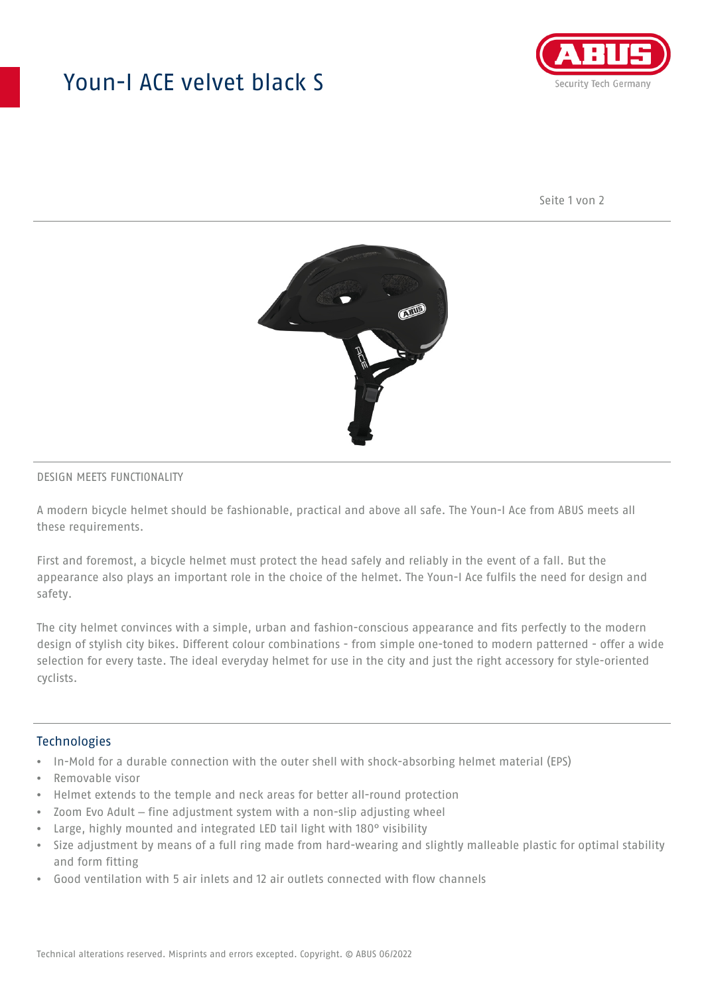## Youn-I ACE velvet black S



Seite 1 von 2



#### DESIGN MEETS FUNCTIONALITY

A modern bicycle helmet should be fashionable, practical and above all safe. The Youn-I Ace from ABUS meets all these requirements.

First and foremost, a bicycle helmet must protect the head safely and reliably in the event of a fall. But the appearance also plays an important role in the choice of the helmet. The Youn-I Ace fulfils the need for design and safety.

The city helmet convinces with a simple, urban and fashion-conscious appearance and fits perfectly to the modern design of stylish city bikes. Different colour combinations - from simple one-toned to modern patterned - offer a wide selection for every taste. The ideal everyday helmet for use in the city and just the right accessory for style-oriented cyclists.

#### **Technologies**

- In-Mold for a durable connection with the outer shell with shock-absorbing helmet material (EPS)
- Removable visor
- Helmet extends to the temple and neck areas for better all-round protection
- Zoom Evo Adult fine adjustment system with a non-slip adjusting wheel
- Large, highly mounted and integrated LED tail light with 180° visibility
- Size adjustment by means of a full ring made from hard-wearing and slightly malleable plastic for optimal stability and form fitting
- Good ventilation with 5 air inlets and 12 air outlets connected with flow channels